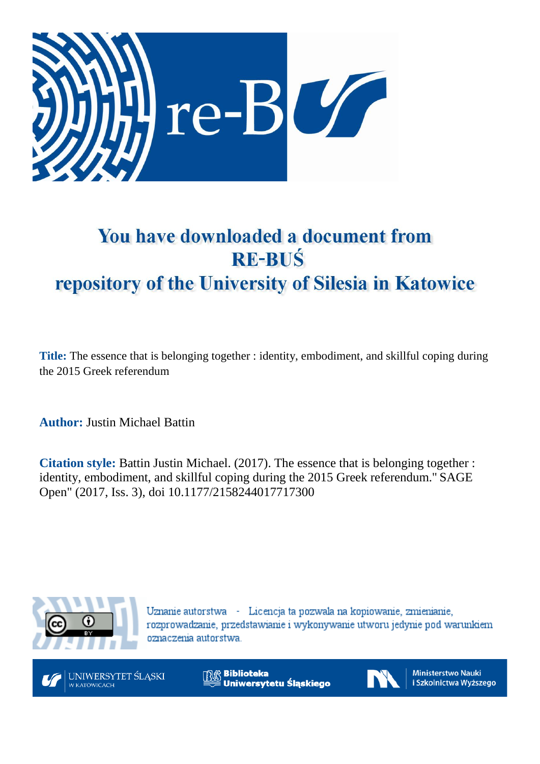

# You have downloaded a document from **RE-BUŚ** repository of the University of Silesia in Katowice

**Title:** The essence that is belonging together : identity, embodiment, and skillful coping during the 2015 Greek referendum

**Author:** Justin Michael Battin

**Citation style:** Battin Justin Michael. (2017). The essence that is belonging together : identity, embodiment, and skillful coping during the 2015 Greek referendum." SAGE Open" (2017, Iss. 3), doi [10.1177/2158244017717300](https://doi.org/10.1177%2F2158244017717300)



Uznanie autorstwa - Licencja ta pozwala na kopiowanie, zmienianie, rozprowadzanie, przedstawianie i wykonywanie utworu jedynie pod warunkiem oznaczenia autorstwa.



**Biblioteka** Uniwersytetu Śląskiego



**Ministerstwo Nauki** i Szkolnictwa Wyższego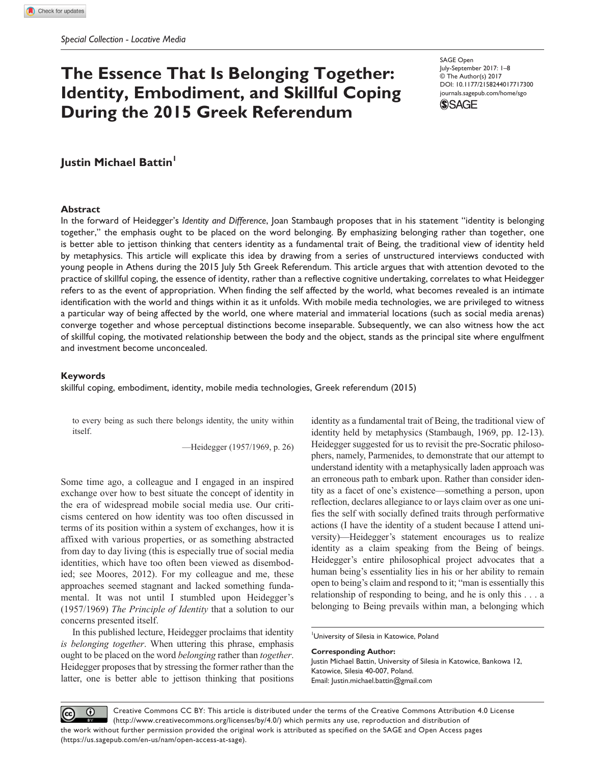## **The Essence That Is Belonging Together: Identity, Embodiment, and Skillful Coping During the 2015 Greek Referendum**

DOI: 10.1177/2158244017717300 SAGE Open July-September 2017: 1–8 © The Author(s) 2017 [journals.sagepub.com/home/sgo](https://journals.sagepub.com/home/sgo)



### **Justin Michael Battin**

#### **Abstract**

In the forward of Heidegger's *Identity and Difference*, Joan Stambaugh proposes that in his statement "identity is belonging together," the emphasis ought to be placed on the word belonging. By emphasizing belonging rather than together, one is better able to jettison thinking that centers identity as a fundamental trait of Being, the traditional view of identity held by metaphysics. This article will explicate this idea by drawing from a series of unstructured interviews conducted with young people in Athens during the 2015 July 5th Greek Referendum. This article argues that with attention devoted to the practice of skillful coping, the essence of identity, rather than a reflective cognitive undertaking, correlates to what Heidegger refers to as the event of appropriation. When finding the self affected by the world, what becomes revealed is an intimate identification with the world and things within it as it unfolds. With mobile media technologies, we are privileged to witness a particular way of being affected by the world, one where material and immaterial locations (such as social media arenas) converge together and whose perceptual distinctions become inseparable. Subsequently, we can also witness how the act of skillful coping, the motivated relationship between the body and the object, stands as the principal site where engulfment and investment become unconcealed.

#### **Keywords**

skillful coping, embodiment, identity, mobile media technologies, Greek referendum (2015)

to every being as such there belongs identity, the unity within itself.

—Heidegger (1957/1969, p. 26)

Some time ago, a colleague and I engaged in an inspired exchange over how to best situate the concept of identity in the era of widespread mobile social media use. Our criticisms centered on how identity was too often discussed in terms of its position within a system of exchanges, how it is affixed with various properties, or as something abstracted from day to day living (this is especially true of social media identities, which have too often been viewed as disembodied; see Moores, 2012). For my colleague and me, these approaches seemed stagnant and lacked something fundamental. It was not until I stumbled upon Heidegger's (1957/1969) *The Principle of Identity* that a solution to our concerns presented itself.

In this published lecture, Heidegger proclaims that identity *is belonging together*. When uttering this phrase, emphasis ought to be placed on the word *belonging* rather than *together*. Heidegger proposes that by stressing the former rather than the latter, one is better able to jettison thinking that positions identity as a fundamental trait of Being, the traditional view of identity held by metaphysics (Stambaugh, 1969, pp. 12-13). Heidegger suggested for us to revisit the pre-Socratic philosophers, namely, Parmenides, to demonstrate that our attempt to understand identity with a metaphysically laden approach was an erroneous path to embark upon. Rather than consider identity as a facet of one's existence—something a person, upon reflection, declares allegiance to or lays claim over as one unifies the self with socially defined traits through performative actions (I have the identity of a student because I attend university)—Heidegger's statement encourages us to realize identity as a claim speaking from the Being of beings. Heidegger's entire philosophical project advocates that a human being's essentiality lies in his or her ability to remain open to being's claim and respond to it; "man is essentially this relationship of responding to being, and he is only this . . . a belonging to Being prevails within man, a belonging which

University of Silesia in Katowice, Poland

**Corresponding Author:** Justin Michael Battin, University of Silesia in Katowice, Bankowa 12, Katowice, Silesia 40-007, Poland. Email: [Justin.michael.battin@gmail.com](mailto:Justin.michael.battin@gmail.com)

Creative Commons CC BY: This article is distributed under the terms of the Creative Commons Attribution 4.0 License  $\odot$  $(c<sub>c</sub>)$ (http://www.creativecommons.org/licenses/by/4.0/) which permits any use, reproduction and distribution of the work without further permission provided the original work is attributed as specified on the SAGE and Open Access pages (https://us.sagepub.com/en-us/nam/open-access-at-sage).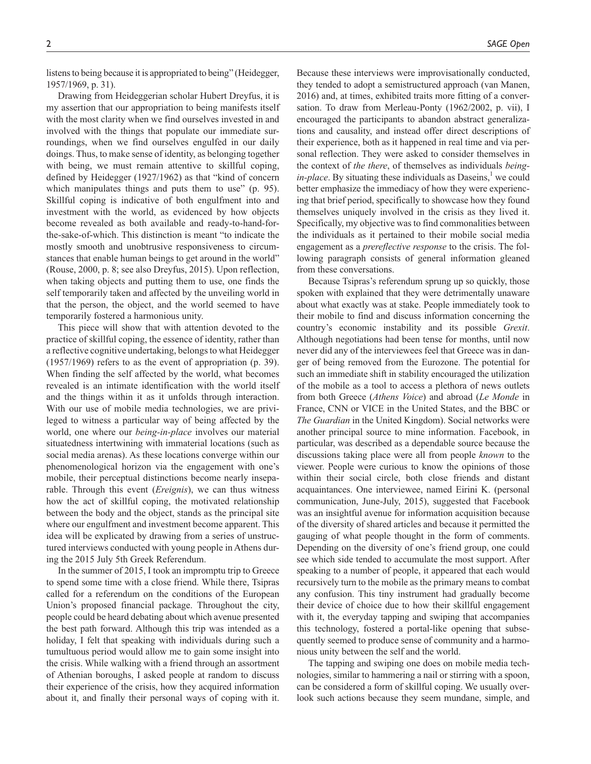listens to being because it is appropriated to being" (Heidegger, 1957/1969, p. 31).

Drawing from Heideggerian scholar Hubert Dreyfus, it is my assertion that our appropriation to being manifests itself with the most clarity when we find ourselves invested in and involved with the things that populate our immediate surroundings, when we find ourselves engulfed in our daily doings. Thus, to make sense of identity, as belonging together with being, we must remain attentive to skillful coping, defined by Heidegger (1927/1962) as that "kind of concern which manipulates things and puts them to use" (p. 95). Skillful coping is indicative of both engulfment into and investment with the world, as evidenced by how objects become revealed as both available and ready-to-hand-forthe-sake-of-which. This distinction is meant "to indicate the mostly smooth and unobtrusive responsiveness to circumstances that enable human beings to get around in the world" (Rouse, 2000, p. 8; see also Dreyfus, 2015). Upon reflection, when taking objects and putting them to use, one finds the self temporarily taken and affected by the unveiling world in that the person, the object, and the world seemed to have temporarily fostered a harmonious unity.

This piece will show that with attention devoted to the practice of skillful coping, the essence of identity, rather than a reflective cognitive undertaking, belongs to what Heidegger (1957/1969) refers to as the event of appropriation (p. 39). When finding the self affected by the world, what becomes revealed is an intimate identification with the world itself and the things within it as it unfolds through interaction. With our use of mobile media technologies, we are privileged to witness a particular way of being affected by the world, one where our *being-in-place* involves our material situatedness intertwining with immaterial locations (such as social media arenas). As these locations converge within our phenomenological horizon via the engagement with one's mobile, their perceptual distinctions become nearly inseparable. Through this event (*Ereignis*), we can thus witness how the act of skillful coping, the motivated relationship between the body and the object, stands as the principal site where our engulfment and investment become apparent. This idea will be explicated by drawing from a series of unstructured interviews conducted with young people in Athens during the 2015 July 5th Greek Referendum.

In the summer of 2015, I took an impromptu trip to Greece to spend some time with a close friend. While there, Tsipras called for a referendum on the conditions of the European Union's proposed financial package. Throughout the city, people could be heard debating about which avenue presented the best path forward. Although this trip was intended as a holiday, I felt that speaking with individuals during such a tumultuous period would allow me to gain some insight into the crisis. While walking with a friend through an assortment of Athenian boroughs, I asked people at random to discuss their experience of the crisis, how they acquired information about it, and finally their personal ways of coping with it.

Because these interviews were improvisationally conducted, they tended to adopt a semistructured approach (van Manen, 2016) and, at times, exhibited traits more fitting of a conversation. To draw from Merleau-Ponty (1962/2002, p. vii), I encouraged the participants to abandon abstract generalizations and causality, and instead offer direct descriptions of their experience, both as it happened in real time and via personal reflection. They were asked to consider themselves in the context of *the there*, of themselves as individuals *being* $in$ -*place*. By situating these individuals as Daseins, $<sup>1</sup>$  we could</sup> better emphasize the immediacy of how they were experiencing that brief period, specifically to showcase how they found themselves uniquely involved in the crisis as they lived it. Specifically, my objective was to find commonalities between the individuals as it pertained to their mobile social media engagement as a *prereflective response* to the crisis. The following paragraph consists of general information gleaned from these conversations.

Because Tsipras's referendum sprung up so quickly, those spoken with explained that they were detrimentally unaware about what exactly was at stake. People immediately took to their mobile to find and discuss information concerning the country's economic instability and its possible *Grexit*. Although negotiations had been tense for months, until now never did any of the interviewees feel that Greece was in danger of being removed from the Eurozone. The potential for such an immediate shift in stability encouraged the utilization of the mobile as a tool to access a plethora of news outlets from both Greece (*Athens Voice*) and abroad (*Le Monde* in France, CNN or VICE in the United States, and the BBC or *The Guardian* in the United Kingdom). Social networks were another principal source to mine information. Facebook, in particular, was described as a dependable source because the discussions taking place were all from people *known* to the viewer. People were curious to know the opinions of those within their social circle, both close friends and distant acquaintances. One interviewee, named Eirini K. (personal communication, June-July, 2015), suggested that Facebook was an insightful avenue for information acquisition because of the diversity of shared articles and because it permitted the gauging of what people thought in the form of comments. Depending on the diversity of one's friend group, one could see which side tended to accumulate the most support. After speaking to a number of people, it appeared that each would recursively turn to the mobile as the primary means to combat any confusion. This tiny instrument had gradually become their device of choice due to how their skillful engagement with it, the everyday tapping and swiping that accompanies this technology, fostered a portal-like opening that subsequently seemed to produce sense of community and a harmonious unity between the self and the world.

The tapping and swiping one does on mobile media technologies, similar to hammering a nail or stirring with a spoon, can be considered a form of skillful coping. We usually overlook such actions because they seem mundane, simple, and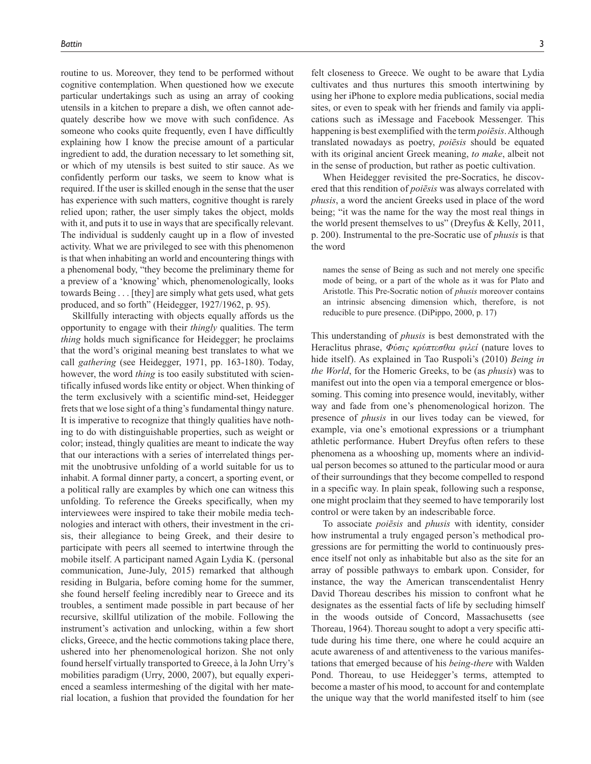routine to us. Moreover, they tend to be performed without cognitive contemplation. When questioned how we execute particular undertakings such as using an array of cooking utensils in a kitchen to prepare a dish, we often cannot adequately describe how we move with such confidence. As someone who cooks quite frequently, even I have difficultly explaining how I know the precise amount of a particular ingredient to add, the duration necessary to let something sit, or which of my utensils is best suited to stir sauce. As we confidently perform our tasks, we seem to know what is required. If the user is skilled enough in the sense that the user has experience with such matters, cognitive thought is rarely relied upon; rather, the user simply takes the object, molds with it, and puts it to use in ways that are specifically relevant. The individual is suddenly caught up in a flow of invested activity. What we are privileged to see with this phenomenon is that when inhabiting an world and encountering things with a phenomenal body, "they become the preliminary theme for a preview of a 'knowing' which, phenomenologically, looks towards Being . . . [they] are simply what gets used, what gets produced, and so forth" (Heidegger, 1927/1962, p. 95).

Skillfully interacting with objects equally affords us the opportunity to engage with their *thingly* qualities. The term *thing* holds much significance for Heidegger; he proclaims that the word's original meaning best translates to what we call *gathering* (see Heidegger, 1971, pp. 163-180). Today, however, the word *thing* is too easily substituted with scientifically infused words like entity or object. When thinking of the term exclusively with a scientific mind-set, Heidegger frets that we lose sight of a thing's fundamental thingy nature. It is imperative to recognize that thingly qualities have nothing to do with distinguishable properties, such as weight or color; instead, thingly qualities are meant to indicate the way that our interactions with a series of interrelated things permit the unobtrusive unfolding of a world suitable for us to inhabit. A formal dinner party, a concert, a sporting event, or a political rally are examples by which one can witness this unfolding. To reference the Greeks specifically, when my interviewees were inspired to take their mobile media technologies and interact with others, their investment in the crisis, their allegiance to being Greek, and their desire to participate with peers all seemed to intertwine through the mobile itself. A participant named Again Lydia K. (personal communication, June-July, 2015) remarked that although residing in Bulgaria, before coming home for the summer, she found herself feeling incredibly near to Greece and its troubles, a sentiment made possible in part because of her recursive, skillful utilization of the mobile. Following the instrument's activation and unlocking, within a few short clicks, Greece, and the hectic commotions taking place there, ushered into her phenomenological horizon. She not only found herself virtually transported to Greece, à la John Urry's mobilities paradigm (Urry, 2000, 2007), but equally experienced a seamless intermeshing of the digital with her material location, a fushion that provided the foundation for her

felt closeness to Greece. We ought to be aware that Lydia cultivates and thus nurtures this smooth intertwining by using her iPhone to explore media publications, social media sites, or even to speak with her friends and family via applications such as iMessage and Facebook Messenger. This happening is best exemplified with the term *poiēsis*. Although translated nowadays as poetry, *poiēsis* should be equated with its original ancient Greek meaning, *to make*, albeit not in the sense of production, but rather as poetic cultivation.

When Heidegger revisited the pre-Socratics, he discovered that this rendition of *poiēsis* was always correlated with *phusis*, a word the ancient Greeks used in place of the word being; "it was the name for the way the most real things in the world present themselves to us" (Dreyfus & Kelly, 2011, p. 200). Instrumental to the pre-Socratic use of *phusis* is that the word

names the sense of Being as such and not merely one specific mode of being, or a part of the whole as it was for Plato and Aristotle. This Pre-Socratic notion of *phusis* moreover contains an intrinsic absencing dimension which, therefore, is not reducible to pure presence. (DiPippo, 2000, p. 17)

This understanding of *phusis* is best demonstrated with the Heraclitus phrase, *Φύσις κρύπτεσθαι φιλεί* (nature loves to hide itself). As explained in Tao Ruspoli's (2010) *Being in the World*, for the Homeric Greeks, to be (as *phusis*) was to manifest out into the open via a temporal emergence or blossoming. This coming into presence would, inevitably, wither way and fade from one's phenomenological horizon. The presence of *phusis* in our lives today can be viewed, for example, via one's emotional expressions or a triumphant athletic performance. Hubert Dreyfus often refers to these phenomena as a whooshing up, moments where an individual person becomes so attuned to the particular mood or aura of their surroundings that they become compelled to respond in a specific way. In plain speak, following such a response, one might proclaim that they seemed to have temporarily lost control or were taken by an indescribable force.

To associate *poiēsis* and *phusis* with identity, consider how instrumental a truly engaged person's methodical progressions are for permitting the world to continuously presence itself not only as inhabitable but also as the site for an array of possible pathways to embark upon. Consider, for instance, the way the American transcendentalist Henry David Thoreau describes his mission to confront what he designates as the essential facts of life by secluding himself in the woods outside of Concord, Massachusetts (see Thoreau, 1964). Thoreau sought to adopt a very specific attitude during his time there, one where he could acquire an acute awareness of and attentiveness to the various manifestations that emerged because of his *being-there* with Walden Pond. Thoreau, to use Heidegger's terms, attempted to become a master of his mood, to account for and contemplate the unique way that the world manifested itself to him (see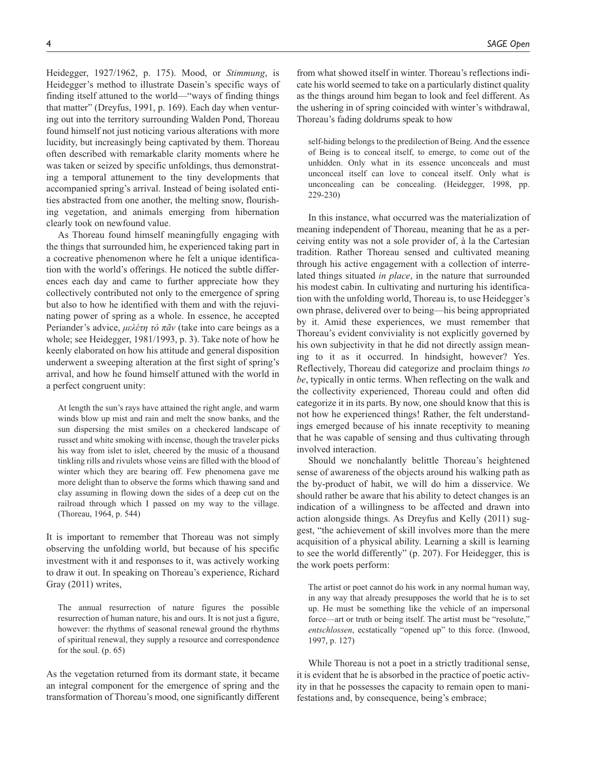Heidegger, 1927/1962, p. 175). Mood, or *Stimmung*, is Heidegger's method to illustrate Dasein's specific ways of finding itself attuned to the world—"ways of finding things that matter" (Dreyfus, 1991, p. 169). Each day when venturing out into the territory surrounding Walden Pond, Thoreau found himself not just noticing various alterations with more lucidity, but increasingly being captivated by them. Thoreau often described with remarkable clarity moments where he was taken or seized by specific unfoldings, thus demonstrating a temporal attunement to the tiny developments that accompanied spring's arrival. Instead of being isolated entities abstracted from one another, the melting snow, flourishing vegetation, and animals emerging from hibernation clearly took on newfound value.

As Thoreau found himself meaningfully engaging with the things that surrounded him, he experienced taking part in a cocreative phenomenon where he felt a unique identification with the world's offerings. He noticed the subtle differences each day and came to further appreciate how they collectively contributed not only to the emergence of spring but also to how he identified with them and with the rejuvinating power of spring as a whole. In essence, he accepted Periander's advice, *μελέτη τό πãν* (take into care beings as a whole; see Heidegger, 1981/1993, p. 3). Take note of how he keenly elaborated on how his attitude and general disposition underwent a sweeping alteration at the first sight of spring's arrival, and how he found himself attuned with the world in a perfect congruent unity:

At length the sun's rays have attained the right angle, and warm winds blow up mist and rain and melt the snow banks, and the sun dispersing the mist smiles on a checkered landscape of russet and white smoking with incense, though the traveler picks his way from islet to islet, cheered by the music of a thousand tinkling rills and rivulets whose veins are filled with the blood of winter which they are bearing off. Few phenomena gave me more delight than to observe the forms which thawing sand and clay assuming in flowing down the sides of a deep cut on the railroad through which I passed on my way to the village. (Thoreau, 1964, p. 544)

It is important to remember that Thoreau was not simply observing the unfolding world, but because of his specific investment with it and responses to it, was actively working to draw it out. In speaking on Thoreau's experience, Richard Gray (2011) writes,

The annual resurrection of nature figures the possible resurrection of human nature, his and ours. It is not just a figure, however: the rhythms of seasonal renewal ground the rhythms of spiritual renewal, they supply a resource and correspondence for the soul. (p. 65)

As the vegetation returned from its dormant state, it became an integral component for the emergence of spring and the transformation of Thoreau's mood, one significantly different

from what showed itself in winter. Thoreau's reflections indicate his world seemed to take on a particularly distinct quality as the things around him began to look and feel different. As the ushering in of spring coincided with winter's withdrawal, Thoreau's fading doldrums speak to how

self-hiding belongs to the predilection of Being. And the essence of Being is to conceal itself, to emerge, to come out of the unhidden. Only what in its essence unconceals and must unconceal itself can love to conceal itself. Only what is unconcealing can be concealing. (Heidegger, 1998, pp. 229-230)

In this instance, what occurred was the materialization of meaning independent of Thoreau, meaning that he as a perceiving entity was not a sole provider of, à la the Cartesian tradition. Rather Thoreau sensed and cultivated meaning through his active engagement with a collection of interrelated things situated *in place*, in the nature that surrounded his modest cabin. In cultivating and nurturing his identification with the unfolding world, Thoreau is, to use Heidegger's own phrase, delivered over to being—his being appropriated by it. Amid these experiences, we must remember that Thoreau's evident conviviality is not explicitly governed by his own subjectivity in that he did not directly assign meaning to it as it occurred. In hindsight, however? Yes. Reflectively, Thoreau did categorize and proclaim things *to be*, typically in ontic terms. When reflecting on the walk and the collectivity experienced, Thoreau could and often did categorize it in its parts. By now, one should know that this is not how he experienced things! Rather, the felt understandings emerged because of his innate receptivity to meaning that he was capable of sensing and thus cultivating through involved interaction.

Should we nonchalantly belittle Thoreau's heightened sense of awareness of the objects around his walking path as the by-product of habit, we will do him a disservice. We should rather be aware that his ability to detect changes is an indication of a willingness to be affected and drawn into action alongside things. As Dreyfus and Kelly (2011) suggest, "the achievement of skill involves more than the mere acquisition of a physical ability. Learning a skill is learning to see the world differently" (p. 207). For Heidegger, this is the work poets perform:

The artist or poet cannot do his work in any normal human way, in any way that already presupposes the world that he is to set up. He must be something like the vehicle of an impersonal force—art or truth or being itself. The artist must be "resolute," *entschlossen*, ecstatically "opened up" to this force. (Inwood, 1997, p. 127)

While Thoreau is not a poet in a strictly traditional sense, it is evident that he is absorbed in the practice of poetic activity in that he possesses the capacity to remain open to manifestations and, by consequence, being's embrace;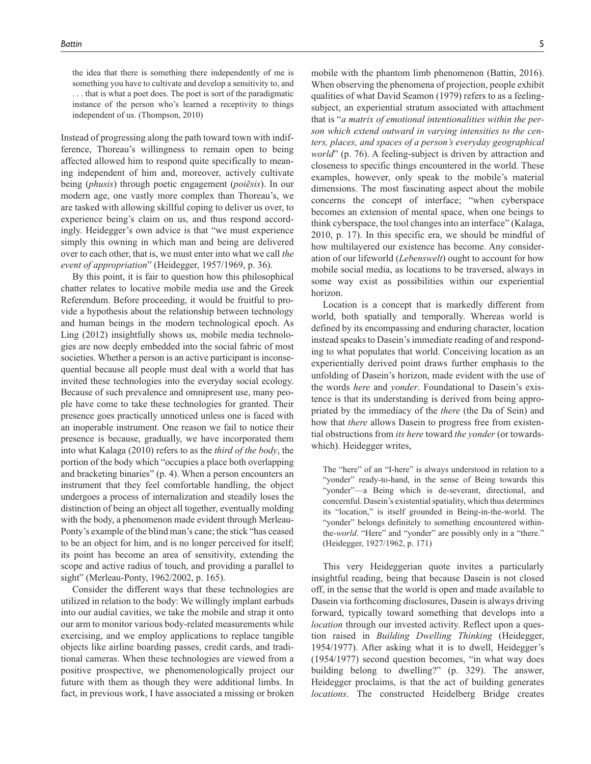the idea that there is something there independently of me is something you have to cultivate and develop a sensitivity to, and . . . that is what a poet does. The poet is sort of the paradigmatic instance of the person who's learned a receptivity to things independent of us. (Thompson, 2010)

Instead of progressing along the path toward town with indifference, Thoreau's willingness to remain open to being affected allowed him to respond quite specifically to meaning independent of him and, moreover, actively cultivate being (*phusis*) through poetic engagement (*poiēsis*). In our modern age, one vastly more complex than Thoreau's, we are tasked with allowing skillful coping to deliver us over, to experience being's claim on us, and thus respond accordingly. Heidegger's own advice is that "we must experience simply this owning in which man and being are delivered over to each other, that is, we must enter into what we call *the event of appropriation*" (Heidegger, 1957/1969, p. 36).

By this point, it is fair to question how this philosophical chatter relates to locative mobile media use and the Greek Referendum. Before proceeding, it would be fruitful to provide a hypothesis about the relationship between technology and human beings in the modern technological epoch. As Ling (2012) insightfully shows us, mobile media technologies are now deeply embedded into the social fabric of most societies. Whether a person is an active participant is inconsequential because all people must deal with a world that has invited these technologies into the everyday social ecology. Because of such prevalence and omnipresent use, many people have come to take these technologies for granted. Their presence goes practically unnoticed unless one is faced with an inoperable instrument. One reason we fail to notice their presence is because, gradually, we have incorporated them into what Kalaga (2010) refers to as the *third of the body*, the portion of the body which "occupies a place both overlapping and bracketing binaries" (p. 4). When a person encounters an instrument that they feel comfortable handling, the object undergoes a process of internalization and steadily loses the distinction of being an object all together, eventually molding with the body, a phenomenon made evident through Merleau-Ponty's example of the blind man's cane; the stick "has ceased to be an object for him, and is no longer perceived for itself; its point has become an area of sensitivity, extending the scope and active radius of touch, and providing a parallel to sight" (Merleau-Ponty, 1962/2002, p. 165).

Consider the different ways that these technologies are utilized in relation to the body: We willingly implant earbuds into our audial cavities, we take the mobile and strap it onto our arm to monitor various body-related measurements while exercising, and we employ applications to replace tangible objects like airline boarding passes, credit cards, and traditional cameras. When these technologies are viewed from a positive prospective, we phenomenologically project our future with them as though they were additional limbs. In fact, in previous work, I have associated a missing or broken

mobile with the phantom limb phenomenon (Battin, 2016). When observing the phenomena of projection, people exhibit qualities of what David Seamon (1979) refers to as a feelingsubject, an experiential stratum associated with attachment that is "*a matrix of emotional intentionalities within the person which extend outward in varying intensities to the centers, places, and spaces of a person's everyday geographical world*" (p. 76). A feeling-subject is driven by attraction and closeness to specific things encountered in the world. These examples, however, only speak to the mobile's material dimensions. The most fascinating aspect about the mobile concerns the concept of interface; "when cyberspace becomes an extension of mental space, when one beings to think cyberspace, the tool changes into an interface" (Kalaga, 2010, p. 17). In this specific era, we should be mindful of how multilayered our existence has become. Any consideration of our lifeworld (*Lebenswelt*) ought to account for how mobile social media, as locations to be traversed, always in some way exist as possibilities within our experiential horizon.

Location is a concept that is markedly different from world, both spatially and temporally. Whereas world is defined by its encompassing and enduring character, location instead speaks to Dasein's immediate reading of and responding to what populates that world. Conceiving location as an experientially derived point draws further emphasis to the unfolding of Dasein's horizon, made evident with the use of the words *here* and *yonder*. Foundational to Dasein's existence is that its understanding is derived from being appropriated by the immediacy of the *there* (the Da of Sein) and how that *there* allows Dasein to progress free from existential obstructions from *its here* toward *the yonder* (or towardswhich). Heidegger writes,

The "here" of an "I-here" is always understood in relation to a "yonder" ready-to-hand, in the sense of Being towards this "yonder"—a Being which is de-severant, directional, and concernful. Dasein's existential spatiality, which thus determines its "location," is itself grounded in Being-in-the-world. The "yonder" belongs definitely to something encountered withinthe-*world*. "Here" and "yonder" are possibly only in a "there." (Heidegger, 1927/1962, p. 171)

This very Heideggerian quote invites a particularly insightful reading, being that because Dasein is not closed off, in the sense that the world is open and made available to Dasein via forthcoming disclosures, Dasein is always driving forward, typically toward something that develops into a *location* through our invested activity. Reflect upon a question raised in *Building Dwelling Thinking* (Heidegger, 1954/1977). After asking what it is to dwell, Heidegger's (1954/1977) second question becomes, "in what way does building belong to dwelling?" (p. 329). The answer, Heidegger proclaims, is that the act of building generates *locations*. The constructed Heidelberg Bridge creates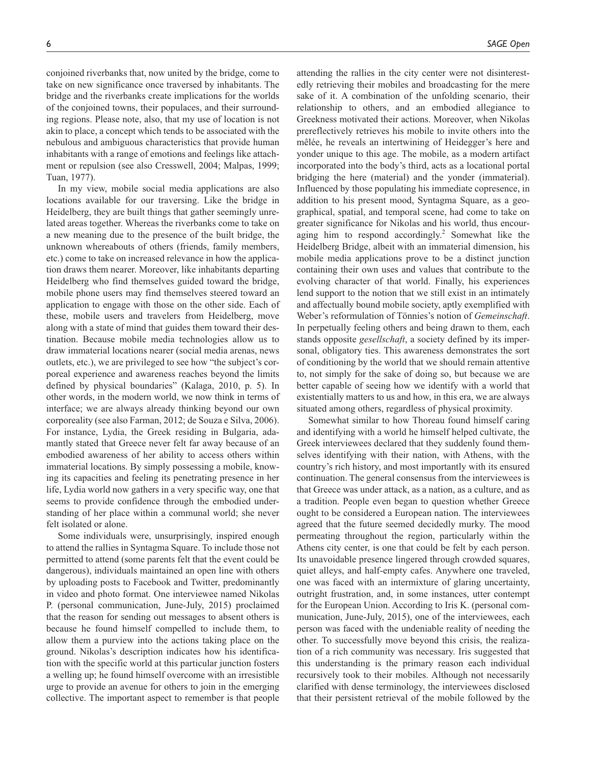conjoined riverbanks that, now united by the bridge, come to take on new significance once traversed by inhabitants. The bridge and the riverbanks create implications for the worlds of the conjoined towns, their populaces, and their surrounding regions. Please note, also, that my use of location is not akin to place, a concept which tends to be associated with the nebulous and ambiguous characteristics that provide human inhabitants with a range of emotions and feelings like attachment or repulsion (see also Cresswell, 2004; Malpas, 1999; Tuan, 1977).

In my view, mobile social media applications are also locations available for our traversing. Like the bridge in Heidelberg, they are built things that gather seemingly unrelated areas together. Whereas the riverbanks come to take on a new meaning due to the presence of the built bridge, the unknown whereabouts of others (friends, family members, etc.) come to take on increased relevance in how the application draws them nearer. Moreover, like inhabitants departing Heidelberg who find themselves guided toward the bridge, mobile phone users may find themselves steered toward an application to engage with those on the other side. Each of these, mobile users and travelers from Heidelberg, move along with a state of mind that guides them toward their destination. Because mobile media technologies allow us to draw immaterial locations nearer (social media arenas, news outlets, etc.), we are privileged to see how "the subject's corporeal experience and awareness reaches beyond the limits defined by physical boundaries" (Kalaga, 2010, p. 5). In other words, in the modern world, we now think in terms of interface; we are always already thinking beyond our own corporeality (see also Farman, 2012; de Souza e Silva, 2006). For instance, Lydia, the Greek residing in Bulgaria, adamantly stated that Greece never felt far away because of an embodied awareness of her ability to access others within immaterial locations. By simply possessing a mobile, knowing its capacities and feeling its penetrating presence in her life, Lydia world now gathers in a very specific way, one that seems to provide confidence through the embodied understanding of her place within a communal world; she never felt isolated or alone.

Some individuals were, unsurprisingly, inspired enough to attend the rallies in Syntagma Square. To include those not permitted to attend (some parents felt that the event could be dangerous), individuals maintained an open line with others by uploading posts to Facebook and Twitter, predominantly in video and photo format. One interviewee named Nikolas P. (personal communication, June-July, 2015) proclaimed that the reason for sending out messages to absent others is because he found himself compelled to include them, to allow them a purview into the actions taking place on the ground. Nikolas's description indicates how his identification with the specific world at this particular junction fosters a welling up; he found himself overcome with an irresistible urge to provide an avenue for others to join in the emerging collective. The important aspect to remember is that people

attending the rallies in the city center were not disinterestedly retrieving their mobiles and broadcasting for the mere sake of it. A combination of the unfolding scenario, their relationship to others, and an embodied allegiance to Greekness motivated their actions. Moreover, when Nikolas prereflectively retrieves his mobile to invite others into the mêlée, he reveals an intertwining of Heidegger's here and yonder unique to this age. The mobile, as a modern artifact incorporated into the body's third, acts as a locational portal bridging the here (material) and the yonder (immaterial). Influenced by those populating his immediate copresence, in addition to his present mood, Syntagma Square, as a geographical, spatial, and temporal scene, had come to take on greater significance for Nikolas and his world, thus encouraging him to respond accordingly.<sup>2</sup> Somewhat like the Heidelberg Bridge, albeit with an immaterial dimension, his mobile media applications prove to be a distinct junction containing their own uses and values that contribute to the evolving character of that world. Finally, his experiences lend support to the notion that we still exist in an intimately and affectually bound mobile society, aptly exemplified with Weber's reformulation of Tönnies's notion of *Gemeinschaft*. In perpetually feeling others and being drawn to them, each stands opposite *gesellschaft*, a society defined by its impersonal, obligatory ties. This awareness demonstrates the sort of conditioning by the world that we should remain attentive to, not simply for the sake of doing so, but because we are better capable of seeing how we identify with a world that existentially matters to us and how, in this era, we are always situated among others, regardless of physical proximity.

Somewhat similar to how Thoreau found himself caring and identifying with a world he himself helped cultivate, the Greek interviewees declared that they suddenly found themselves identifying with their nation, with Athens, with the country's rich history, and most importantly with its ensured continuation. The general consensus from the interviewees is that Greece was under attack, as a nation, as a culture, and as a tradition. People even began to question whether Greece ought to be considered a European nation. The interviewees agreed that the future seemed decidedly murky. The mood permeating throughout the region, particularly within the Athens city center, is one that could be felt by each person. Its unavoidable presence lingered through crowded squares, quiet alleys, and half-empty cafes. Anywhere one traveled, one was faced with an intermixture of glaring uncertainty, outright frustration, and, in some instances, utter contempt for the European Union. According to Iris K. (personal communication, June-July, 2015), one of the interviewees, each person was faced with the undeniable reality of needing the other. To successfully move beyond this crisis, the realization of a rich community was necessary. Iris suggested that this understanding is the primary reason each individual recursively took to their mobiles. Although not necessarily clarified with dense terminology, the interviewees disclosed that their persistent retrieval of the mobile followed by the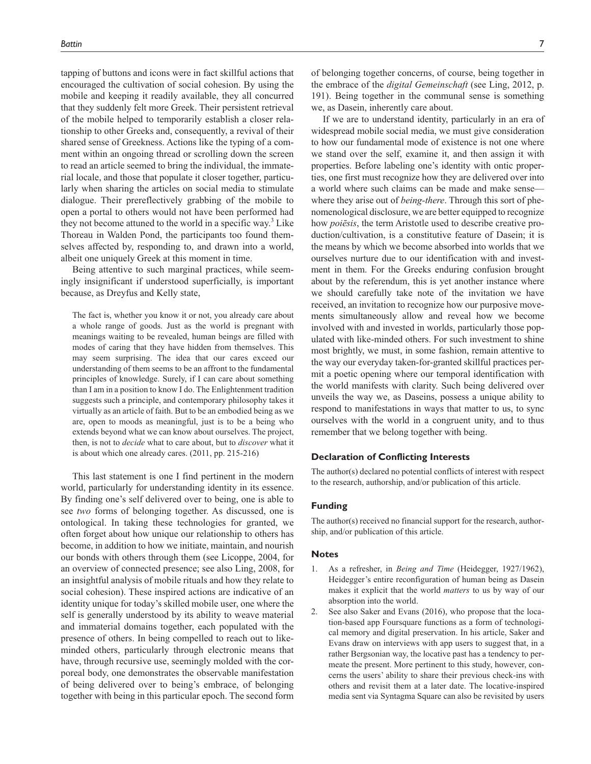tapping of buttons and icons were in fact skillful actions that encouraged the cultivation of social cohesion. By using the mobile and keeping it readily available, they all concurred that they suddenly felt more Greek. Their persistent retrieval of the mobile helped to temporarily establish a closer relationship to other Greeks and, consequently, a revival of their shared sense of Greekness. Actions like the typing of a comment within an ongoing thread or scrolling down the screen to read an article seemed to bring the individual, the immaterial locale, and those that populate it closer together, particularly when sharing the articles on social media to stimulate dialogue. Their prereflectively grabbing of the mobile to open a portal to others would not have been performed had they not become attuned to the world in a specific way.<sup>3</sup> Like Thoreau in Walden Pond, the participants too found themselves affected by, responding to, and drawn into a world, albeit one uniquely Greek at this moment in time.

Being attentive to such marginal practices, while seemingly insignificant if understood superficially, is important because, as Dreyfus and Kelly state,

The fact is, whether you know it or not, you already care about a whole range of goods. Just as the world is pregnant with meanings waiting to be revealed, human beings are filled with modes of caring that they have hidden from themselves. This may seem surprising. The idea that our cares exceed our understanding of them seems to be an affront to the fundamental principles of knowledge. Surely, if I can care about something than I am in a position to know I do. The Enlightenment tradition suggests such a principle, and contemporary philosophy takes it virtually as an article of faith. But to be an embodied being as we are, open to moods as meaningful, just is to be a being who extends beyond what we can know about ourselves. The project, then, is not to *decide* what to care about, but to *discover* what it is about which one already cares. (2011, pp. 215-216)

This last statement is one I find pertinent in the modern world, particularly for understanding identity in its essence. By finding one's self delivered over to being, one is able to see *two* forms of belonging together. As discussed, one is ontological. In taking these technologies for granted, we often forget about how unique our relationship to others has become, in addition to how we initiate, maintain, and nourish our bonds with others through them (see Licoppe, 2004, for an overview of connected presence; see also Ling, 2008, for an insightful analysis of mobile rituals and how they relate to social cohesion). These inspired actions are indicative of an identity unique for today's skilled mobile user, one where the self is generally understood by its ability to weave material and immaterial domains together, each populated with the presence of others. In being compelled to reach out to likeminded others, particularly through electronic means that have, through recursive use, seemingly molded with the corporeal body, one demonstrates the observable manifestation of being delivered over to being's embrace, of belonging together with being in this particular epoch. The second form

of belonging together concerns, of course, being together in the embrace of the *digital Gemeinschaft* (see Ling, 2012, p. 191). Being together in the communal sense is something we, as Dasein, inherently care about.

If we are to understand identity, particularly in an era of widespread mobile social media, we must give consideration to how our fundamental mode of existence is not one where we stand over the self, examine it, and then assign it with properties. Before labeling one's identity with ontic properties, one first must recognize how they are delivered over into a world where such claims can be made and make sense where they arise out of *being-there*. Through this sort of phenomenological disclosure, we are better equipped to recognize how *poiēsis*, the term Aristotle used to describe creative production/cultivation, is a constitutive feature of Dasein; it is the means by which we become absorbed into worlds that we ourselves nurture due to our identification with and investment in them. For the Greeks enduring confusion brought about by the referendum, this is yet another instance where we should carefully take note of the invitation we have received, an invitation to recognize how our purposive movements simultaneously allow and reveal how we become involved with and invested in worlds, particularly those populated with like-minded others. For such investment to shine most brightly, we must, in some fashion, remain attentive to the way our everyday taken-for-granted skillful practices permit a poetic opening where our temporal identification with the world manifests with clarity. Such being delivered over unveils the way we, as Daseins, possess a unique ability to respond to manifestations in ways that matter to us, to sync ourselves with the world in a congruent unity, and to thus remember that we belong together with being.

#### **Declaration of Conflicting Interests**

The author(s) declared no potential conflicts of interest with respect to the research, authorship, and/or publication of this article.

#### **Funding**

The author(s) received no financial support for the research, authorship, and/or publication of this article.

#### **Notes**

- 1. As a refresher, in *Being and Time* (Heidegger, 1927/1962), Heidegger's entire reconfiguration of human being as Dasein makes it explicit that the world *matters* to us by way of our absorption into the world.
- 2. See also Saker and Evans (2016), who propose that the location-based app Foursquare functions as a form of technological memory and digital preservation. In his article, Saker and Evans draw on interviews with app users to suggest that, in a rather Bergsonian way, the locative past has a tendency to permeate the present. More pertinent to this study, however, concerns the users' ability to share their previous check-ins with others and revisit them at a later date. The locative-inspired media sent via Syntagma Square can also be revisited by users